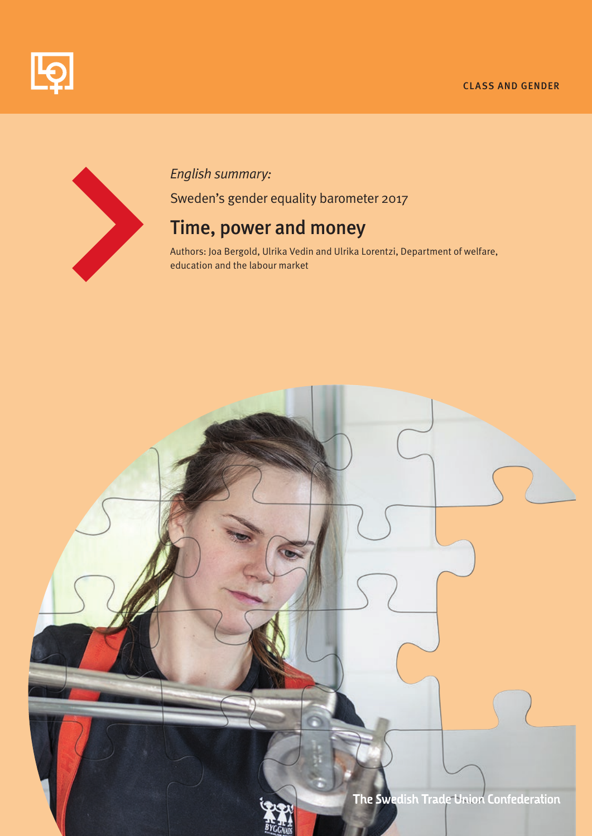#### CLASS AND GENDER





# *English summary:*

Sweden's gender equality barometer 2017

# Time, power and money

Authors: Joa Bergold, Ulrika Vedin and Ulrika Lorentzi, Department of welfare, education and the labour market

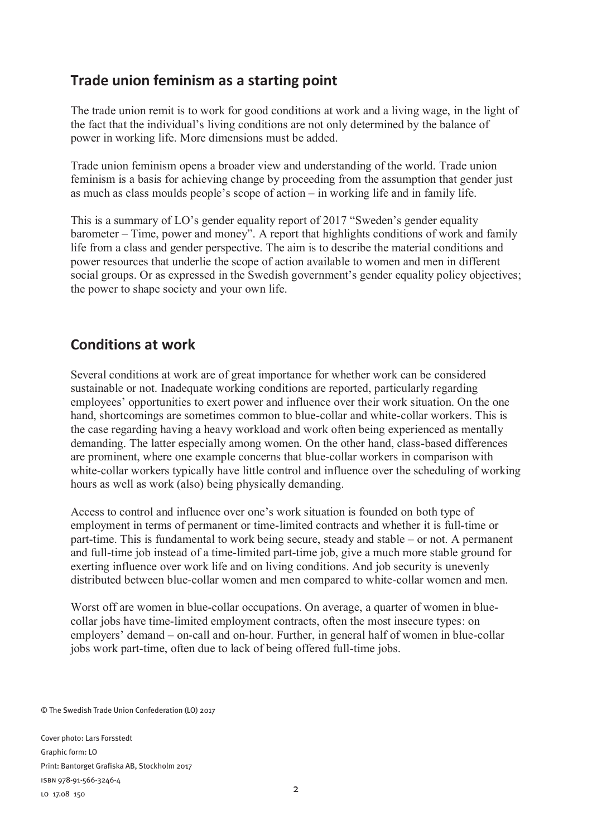### **Trade union feminism as a starting point**

The trade union remit is to work for good conditions at work and a living wage, in the light of the fact that the individual's living conditions are not only determined by the balance of power in working life. More dimensions must be added.

Trade union feminism opens a broader view and understanding of the world. Trade union feminism is a basis for achieving change by proceeding from the assumption that gender just as much as class moulds people's scope of action – in working life and in family life.

This is a summary of LO's gender equality report of 2017 "Sweden's gender equality barometer – Time, power and money". A report that highlights conditions of work and family life from a class and gender perspective. The aim is to describe the material conditions and power resources that underlie the scope of action available to women and men in different social groups. Or as expressed in the Swedish government's gender equality policy objectives; the power to shape society and your own life.

### **Conditions at work**

Several conditions at work are of great importance for whether work can be considered sustainable or not. Inadequate working conditions are reported, particularly regarding employees' opportunities to exert power and influence over their work situation. On the one hand, shortcomings are sometimes common to blue-collar and white-collar workers. This is the case regarding having a heavy workload and work often being experienced as mentally demanding. The latter especially among women. On the other hand, class-based differences are prominent, where one example concerns that blue-collar workers in comparison with white-collar workers typically have little control and influence over the scheduling of working hours as well as work (also) being physically demanding.

Access to control and influence over one's work situation is founded on both type of employment in terms of permanent or time-limited contracts and whether it is full-time or part-time. This is fundamental to work being secure, steady and stable – or not. A permanent and full-time job instead of a time-limited part-time job, give a much more stable ground for exerting influence over work life and on living conditions. And job security is unevenly distributed between blue-collar women and men compared to white-collar women and men.

Worst off are women in blue-collar occupations. On average, a quarter of women in bluecollar jobs have time-limited employment contracts, often the most insecure types: on employers' demand – on-call and on-hour. Further, in general half of women in blue-collar jobs work part-time, often due to lack of being offered full-time jobs.

© The Swedish Trade Union Confederation (LO) 2017

Cover photo: Lars Forsstedt Graphic form: LO Print: Bantorget Grafiska AB, Stockholm 2017 isbn 978-91-566-3246-4 LO 17.08 150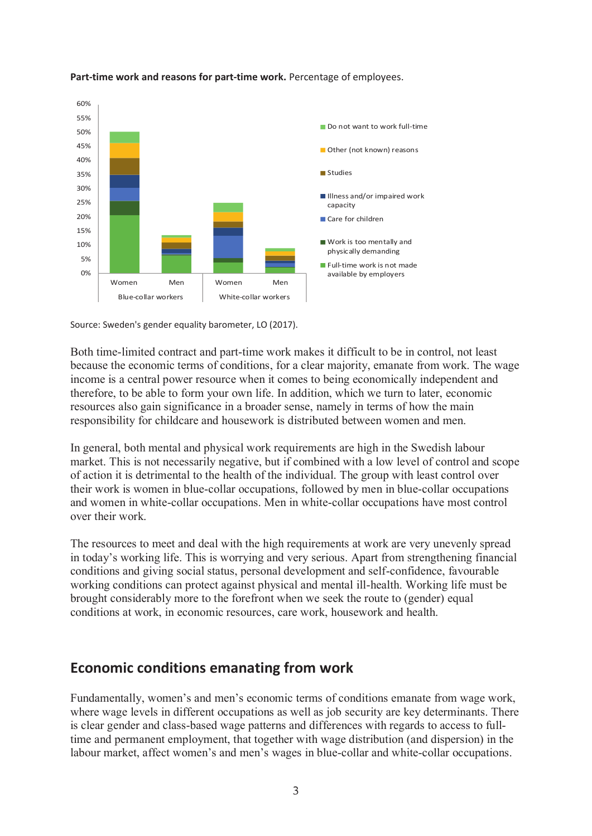

#### **Part-time work and reasons for part-time work.** Percentage of employees.

Source: Sweden's gender equality barometer, LO (2017).

Both time-limited contract and part-time work makes it difficult to be in control, not least because the economic terms of conditions, for a clear majority, emanate from work. The wage income is a central power resource when it comes to being economically independent and therefore, to be able to form your own life. In addition, which we turn to later, economic resources also gain significance in a broader sense, namely in terms of how the main responsibility for childcare and housework is distributed between women and men.

In general, both mental and physical work requirements are high in the Swedish labour market. This is not necessarily negative, but if combined with a low level of control and scope of action it is detrimental to the health of the individual. The group with least control over their work is women in blue-collar occupations, followed by men in blue-collar occupations and women in white-collar occupations. Men in white-collar occupations have most control over their work.

The resources to meet and deal with the high requirements at work are very unevenly spread in today's working life. This is worrying and very serious. Apart from strengthening financial conditions and giving social status, personal development and self-confidence, favourable working conditions can protect against physical and mental ill-health. Working life must be brought considerably more to the forefront when we seek the route to (gender) equal conditions at work, in economic resources, care work, housework and health.

#### **Economic conditions emanating from work**

Fundamentally, women's and men's economic terms of conditions emanate from wage work, where wage levels in different occupations as well as job security are key determinants. There is clear gender and class-based wage patterns and differences with regards to access to fulltime and permanent employment, that together with wage distribution (and dispersion) in the labour market, affect women's and men's wages in blue-collar and white-collar occupations.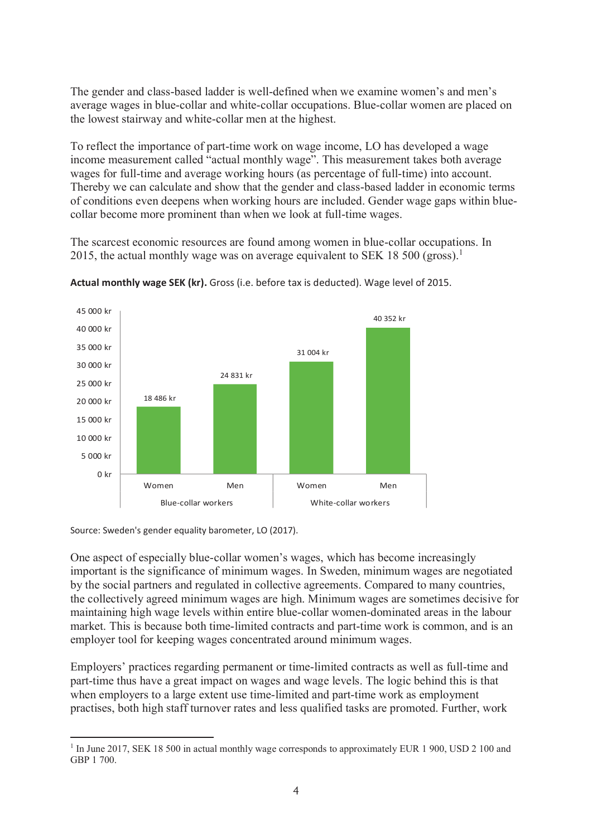The gender and class-based ladder is well-defined when we examine women's and men's average wages in blue-collar and white-collar occupations. Blue-collar women are placed on the lowest stairway and white-collar men at the highest.

To reflect the importance of part-time work on wage income, LO has developed a wage income measurement called "actual monthly wage". This measurement takes both average wages for full-time and average working hours (as percentage of full-time) into account. Thereby we can calculate and show that the gender and class-based ladder in economic terms of conditions even deepens when working hours are included. Gender wage gaps within bluecollar become more prominent than when we look at full-time wages.

The scarcest economic resources are found among women in blue-collar occupations. In 2015, the actual monthly wage was on average equivalent to SEK 18 500 (gross).<sup>1</sup>



**Actual monthly wage SEK (kr).** Gross (i.e. before tax is deducted). Wage level of 2015.

Source: Sweden's gender equality barometer, LO (2017).

One aspect of especially blue-collar women's wages, which has become increasingly important is the significance of minimum wages. In Sweden, minimum wages are negotiated by the social partners and regulated in collective agreements. Compared to many countries, the collectively agreed minimum wages are high. Minimum wages are sometimes decisive for maintaining high wage levels within entire blue-collar women-dominated areas in the labour market. This is because both time-limited contracts and part-time work is common, and is an employer tool for keeping wages concentrated around minimum wages.

Employers' practices regarding permanent or time-limited contracts as well as full-time and part-time thus have a great impact on wages and wage levels. The logic behind this is that when employers to a large extent use time-limited and part-time work as employment practises, both high staff turnover rates and less qualified tasks are promoted. Further, work

 $\overline{a}$ <sup>1</sup> In June 2017, SEK 18 500 in actual monthly wage corresponds to approximately EUR 1 900, USD 2 100 and GBP 1 700.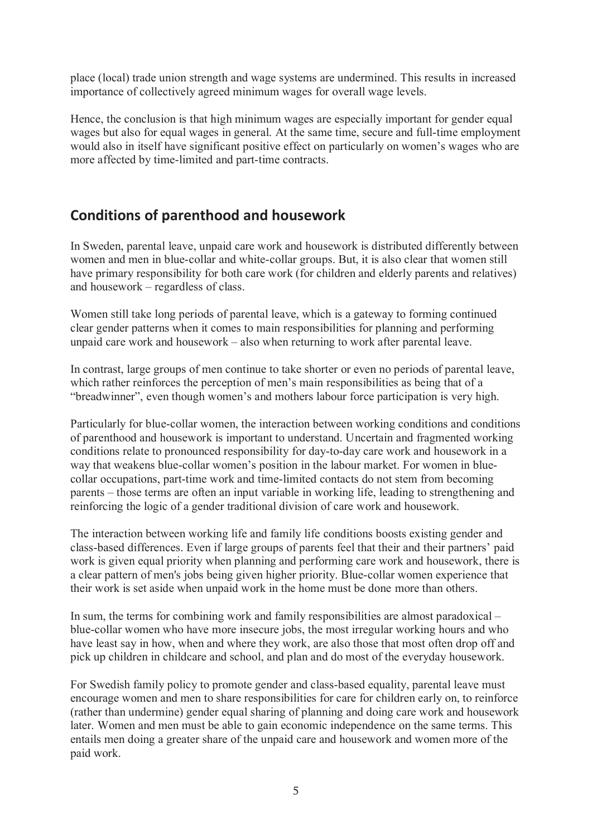place (local) trade union strength and wage systems are undermined. This results in increased importance of collectively agreed minimum wages for overall wage levels.

Hence, the conclusion is that high minimum wages are especially important for gender equal wages but also for equal wages in general. At the same time, secure and full-time employment would also in itself have significant positive effect on particularly on women's wages who are more affected by time-limited and part-time contracts.

### **Conditions of parenthood and housework**

In Sweden, parental leave, unpaid care work and housework is distributed differently between women and men in blue-collar and white-collar groups. But, it is also clear that women still have primary responsibility for both care work (for children and elderly parents and relatives) and housework – regardless of class.

Women still take long periods of parental leave, which is a gateway to forming continued clear gender patterns when it comes to main responsibilities for planning and performing unpaid care work and housework – also when returning to work after parental leave.

In contrast, large groups of men continue to take shorter or even no periods of parental leave, which rather reinforces the perception of men's main responsibilities as being that of a "breadwinner", even though women's and mothers labour force participation is very high.

Particularly for blue-collar women, the interaction between working conditions and conditions of parenthood and housework is important to understand. Uncertain and fragmented working conditions relate to pronounced responsibility for day-to-day care work and housework in a way that weakens blue-collar women's position in the labour market. For women in bluecollar occupations, part-time work and time-limited contacts do not stem from becoming parents – those terms are often an input variable in working life, leading to strengthening and reinforcing the logic of a gender traditional division of care work and housework.

The interaction between working life and family life conditions boosts existing gender and class-based differences. Even if large groups of parents feel that their and their partners' paid work is given equal priority when planning and performing care work and housework, there is a clear pattern of men's jobs being given higher priority. Blue-collar women experience that their work is set aside when unpaid work in the home must be done more than others.

In sum, the terms for combining work and family responsibilities are almost paradoxical – blue-collar women who have more insecure jobs, the most irregular working hours and who have least say in how, when and where they work, are also those that most often drop off and pick up children in childcare and school, and plan and do most of the everyday housework.

For Swedish family policy to promote gender and class-based equality, parental leave must encourage women and men to share responsibilities for care for children early on, to reinforce (rather than undermine) gender equal sharing of planning and doing care work and housework later. Women and men must be able to gain economic independence on the same terms. This entails men doing a greater share of the unpaid care and housework and women more of the paid work.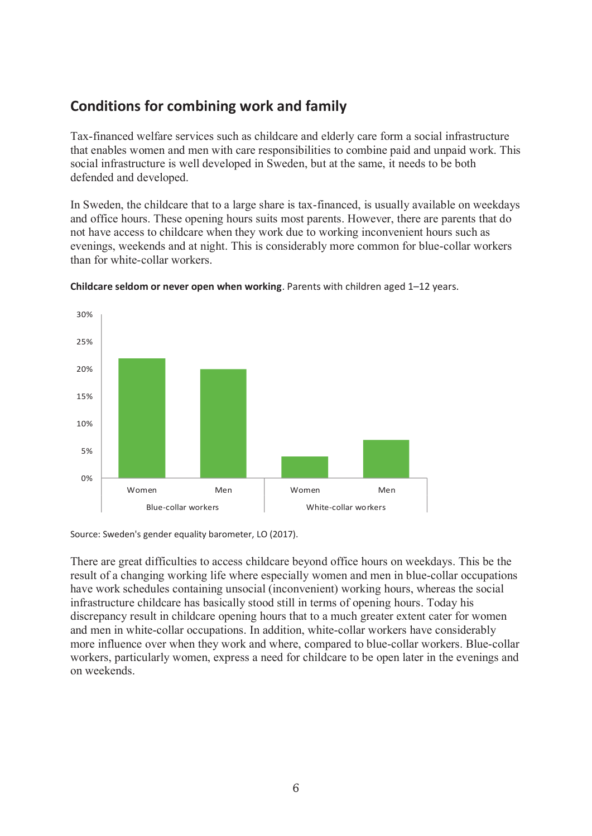## **Conditions for combining work and family**

Tax-financed welfare services such as childcare and elderly care form a social infrastructure that enables women and men with care responsibilities to combine paid and unpaid work. This social infrastructure is well developed in Sweden, but at the same, it needs to be both defended and developed.

In Sweden, the childcare that to a large share is tax-financed, is usually available on weekdays and office hours. These opening hours suits most parents. However, there are parents that do not have access to childcare when they work due to working inconvenient hours such as evenings, weekends and at night. This is considerably more common for blue-collar workers than for white-collar workers.



**Childcare seldom or never open when working**. Parents with children aged 1–12 years.

Source: Sweden's gender equality barometer, LO (2017).

There are great difficulties to access childcare beyond office hours on weekdays. This be the result of a changing working life where especially women and men in blue-collar occupations have work schedules containing unsocial (inconvenient) working hours, whereas the social infrastructure childcare has basically stood still in terms of opening hours. Today his discrepancy result in childcare opening hours that to a much greater extent cater for women and men in white-collar occupations. In addition, white-collar workers have considerably more influence over when they work and where, compared to blue-collar workers. Blue-collar workers, particularly women, express a need for childcare to be open later in the evenings and on weekends.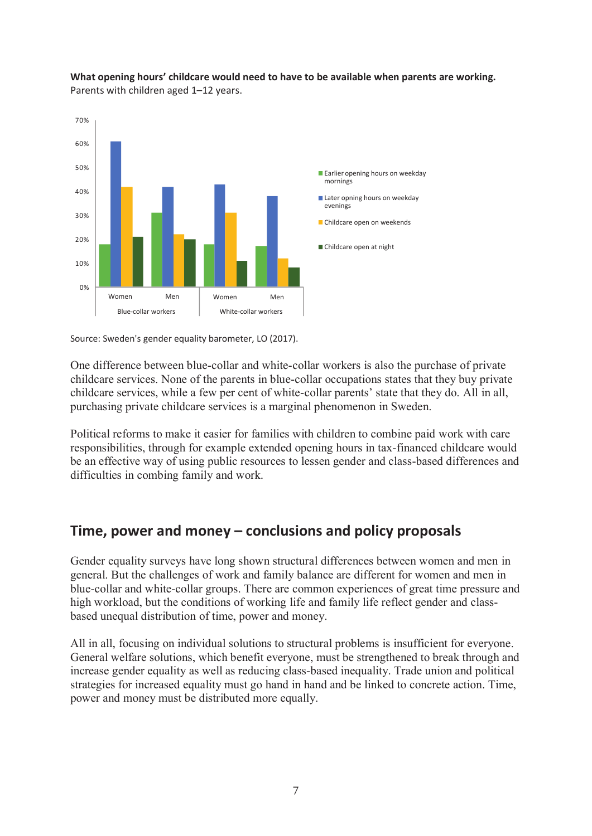

**What opening hours' childcare would need to have to be available when parents are working.** Parents with children aged 1–12 years.

Source: Sweden's gender equality barometer, LO (2017).

One difference between blue-collar and white-collar workers is also the purchase of private childcare services. None of the parents in blue-collar occupations states that they buy private childcare services, while a few per cent of white-collar parents' state that they do. All in all, purchasing private childcare services is a marginal phenomenon in Sweden.

Political reforms to make it easier for families with children to combine paid work with care responsibilities, through for example extended opening hours in tax-financed childcare would be an effective way of using public resources to lessen gender and class-based differences and difficulties in combing family and work.

### **Time, power and money – conclusions and policy proposals**

Gender equality surveys have long shown structural differences between women and men in general. But the challenges of work and family balance are different for women and men in blue-collar and white-collar groups. There are common experiences of great time pressure and high workload, but the conditions of working life and family life reflect gender and classbased unequal distribution of time, power and money.

All in all, focusing on individual solutions to structural problems is insufficient for everyone. General welfare solutions, which benefit everyone, must be strengthened to break through and increase gender equality as well as reducing class-based inequality. Trade union and political strategies for increased equality must go hand in hand and be linked to concrete action. Time, power and money must be distributed more equally.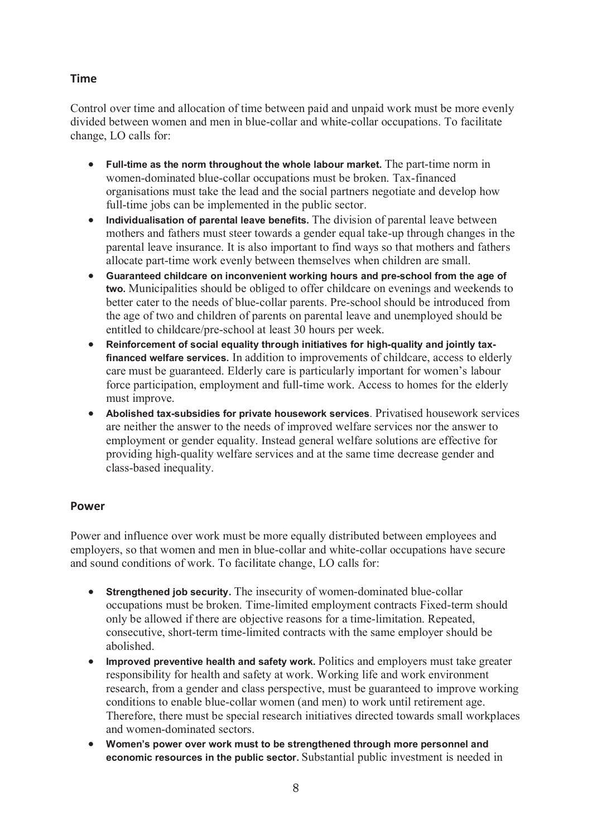#### **Time**

Control over time and allocation of time between paid and unpaid work must be more evenly divided between women and men in blue-collar and white-collar occupations. To facilitate change, LO calls for:

- **Full-time as the norm throughout the whole labour market.** The part-time norm in women-dominated blue-collar occupations must be broken. Tax-financed organisations must take the lead and the social partners negotiate and develop how full-time jobs can be implemented in the public sector.
- **Individualisation of parental leave benefits.** The division of parental leave between mothers and fathers must steer towards a gender equal take-up through changes in the parental leave insurance. It is also important to find ways so that mothers and fathers allocate part-time work evenly between themselves when children are small.
- **Guaranteed childcare on inconvenient working hours and pre-school from the age of two.** Municipalities should be obliged to offer childcare on evenings and weekends to better cater to the needs of blue-collar parents. Pre-school should be introduced from the age of two and children of parents on parental leave and unemployed should be entitled to childcare/pre-school at least 30 hours per week.
- **Reinforcement of social equality through initiatives for high-quality and jointly taxfinanced welfare services.** In addition to improvements of childcare, access to elderly care must be guaranteed. Elderly care is particularly important for women's labour force participation, employment and full-time work. Access to homes for the elderly must improve.
- **Abolished tax-subsidies for private housework services**. Privatised housework services are neither the answer to the needs of improved welfare services nor the answer to employment or gender equality. Instead general welfare solutions are effective for providing high-quality welfare services and at the same time decrease gender and class-based inequality.

#### **Power**

Power and influence over work must be more equally distributed between employees and employers, so that women and men in blue-collar and white-collar occupations have secure and sound conditions of work. To facilitate change, LO calls for:

- **Strengthened job security.** The insecurity of women-dominated blue-collar occupations must be broken. Time-limited employment contracts Fixed-term should only be allowed if there are objective reasons for a time-limitation. Repeated, consecutive, short-term time-limited contracts with the same employer should be abolished.
- **Improved preventive health and safety work.** Politics and employers must take greater responsibility for health and safety at work. Working life and work environment research, from a gender and class perspective, must be guaranteed to improve working conditions to enable blue-collar women (and men) to work until retirement age. Therefore, there must be special research initiatives directed towards small workplaces and women-dominated sectors.
- **Women's power over work must to be strengthened through more personnel and economic resources in the public sector.** Substantial public investment is needed in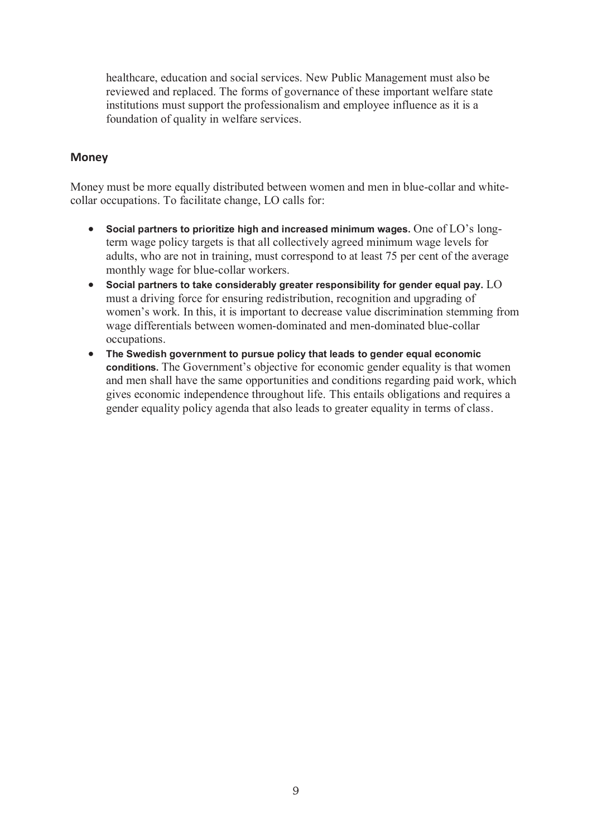healthcare, education and social services. New Public Management must also be reviewed and replaced. The forms of governance of these important welfare state institutions must support the professionalism and employee influence as it is a foundation of quality in welfare services.

#### **Money**

Money must be more equally distributed between women and men in blue-collar and whitecollar occupations. To facilitate change, LO calls for:

- **Social partners to prioritize high and increased minimum wages.** One of LO's longterm wage policy targets is that all collectively agreed minimum wage levels for adults, who are not in training, must correspond to at least 75 per cent of the average monthly wage for blue-collar workers.
- **Social partners to take considerably greater responsibility for gender equal pay.** LO must a driving force for ensuring redistribution, recognition and upgrading of women's work. In this, it is important to decrease value discrimination stemming from wage differentials between women-dominated and men-dominated blue-collar occupations.
- **The Swedish government to pursue policy that leads to gender equal economic conditions.** The Government's objective for economic gender equality is that women and men shall have the same opportunities and conditions regarding paid work, which gives economic independence throughout life. This entails obligations and requires a gender equality policy agenda that also leads to greater equality in terms of class.